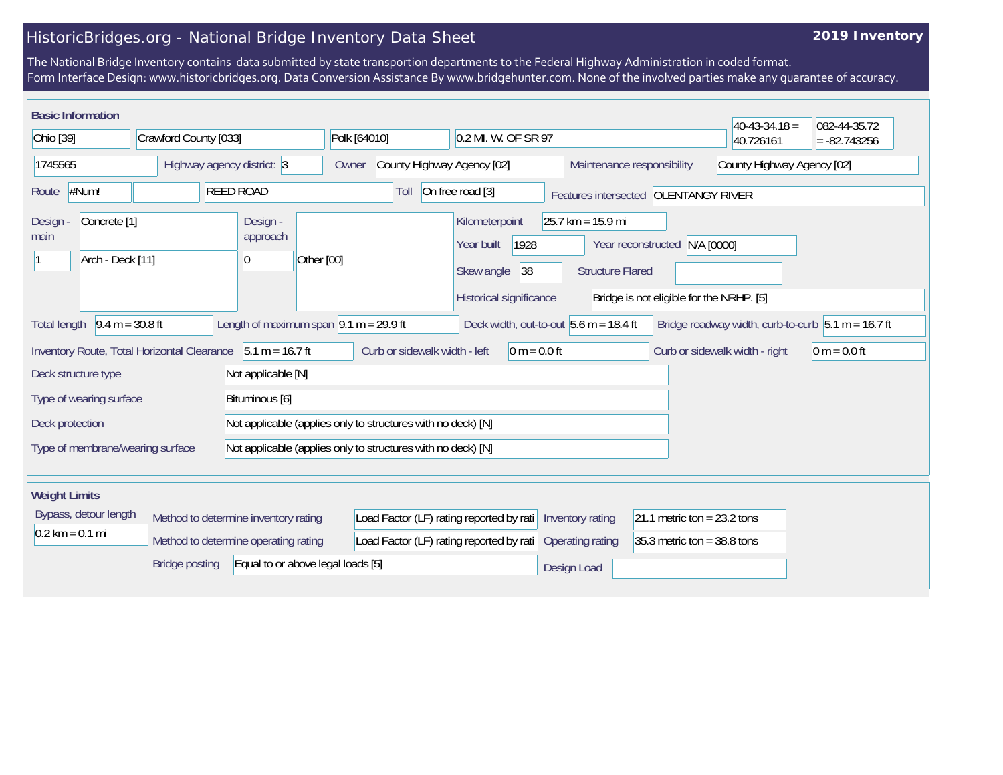## HistoricBridges.org - National Bridge Inventory Data Sheet

## **2019 Inventory**

The National Bridge Inventory contains data submitted by state transportion departments to the Federal Highway Administration in coded format. Form Interface Design: www.historicbridges.org. Data Conversion Assistance By www.bridgehunter.com. None of the involved parties make any guarantee of accuracy.

| <b>Basic Information</b>                                                                                                                                                                        |                                      |                                                              |                                          |                                                          |                                                |                                          |                                |                                |
|-------------------------------------------------------------------------------------------------------------------------------------------------------------------------------------------------|--------------------------------------|--------------------------------------------------------------|------------------------------------------|----------------------------------------------------------|------------------------------------------------|------------------------------------------|--------------------------------|--------------------------------|
| Ohio [39]<br>Crawford County [033]                                                                                                                                                              |                                      |                                                              | Polk [64010]                             | 0.2 MI. W. OF SR 97                                      |                                                |                                          | $40-43-34.18 =$<br>40.726161   | 082-44-35.72<br>$= -82.743256$ |
| 1745565                                                                                                                                                                                         |                                      | Highway agency district: 3                                   | County Highway Agency [02]<br>Owner      | Maintenance responsibility                               |                                                |                                          | County Highway Agency [02]     |                                |
| #Num!<br><b>REED ROAD</b><br>Route                                                                                                                                                              |                                      |                                                              | Toll                                     | On free road [3]<br>Features intersected OLENTANGY RIVER |                                                |                                          |                                |                                |
| Concrete <sup>[1]</sup><br><b>Design</b><br>main<br>Arch - Deck [11]                                                                                                                            |                                      | Design -<br>approach<br>$ 0\rangle$                          | Other [00]                               | Kilometerpoint<br>1928<br>Year built<br>38<br>Skew angle | $25.7$ km = 15.9 mi<br><b>Structure Flared</b> | Year reconstructed N/A [0000]            |                                |                                |
|                                                                                                                                                                                                 |                                      |                                                              |                                          | Historical significance                                  |                                                | Bridge is not eligible for the NRHP. [5] |                                |                                |
| $9.4 m = 30.8 ft$<br>Length of maximum span $\sqrt{9.1}$ m = 29.9 ft<br>Deck width, out-to-out $5.6$ m = 18.4 ft<br>Bridge roadway width, curb-to-curb $5.1 m = 16.7 ft$<br><b>Total length</b> |                                      |                                                              |                                          |                                                          |                                                |                                          |                                |                                |
| Inventory Route, Total Horizontal Clearance 5.1 m = 16.7 ft                                                                                                                                     |                                      |                                                              | Curb or sidewalk width - left            | $0 m = 0.0 ft$                                           |                                                |                                          | Curb or sidewalk width - right | $0 m = 0.0 ft$                 |
| Deck structure type                                                                                                                                                                             |                                      | Not applicable [N]                                           |                                          |                                                          |                                                |                                          |                                |                                |
| Bituminous [6]<br>Type of wearing surface                                                                                                                                                       |                                      |                                                              |                                          |                                                          |                                                |                                          |                                |                                |
| Deck protection                                                                                                                                                                                 |                                      | Not applicable (applies only to structures with no deck) [N] |                                          |                                                          |                                                |                                          |                                |                                |
| Type of membrane/wearing surface                                                                                                                                                                |                                      | Not applicable (applies only to structures with no deck) [N] |                                          |                                                          |                                                |                                          |                                |                                |
| <b>Weight Limits</b>                                                                                                                                                                            |                                      |                                                              |                                          |                                                          |                                                |                                          |                                |                                |
| Bypass, detour length                                                                                                                                                                           | Method to determine inventory rating |                                                              | Load Factor (LF) rating reported by rati |                                                          | Inventory rating                               | 21.1 metric ton = $23.2$ tons            |                                |                                |
| $0.2 \text{ km} = 0.1 \text{ mi}$<br>Method to determine operating rating                                                                                                                       |                                      | Load Factor (LF) rating reported by rati                     |                                          | Operating rating                                         | 35.3 metric ton = $38.8$ tons                  |                                          |                                |                                |
| Equal to or above legal loads [5]<br><b>Bridge posting</b>                                                                                                                                      |                                      |                                                              |                                          |                                                          | Design Load                                    |                                          |                                |                                |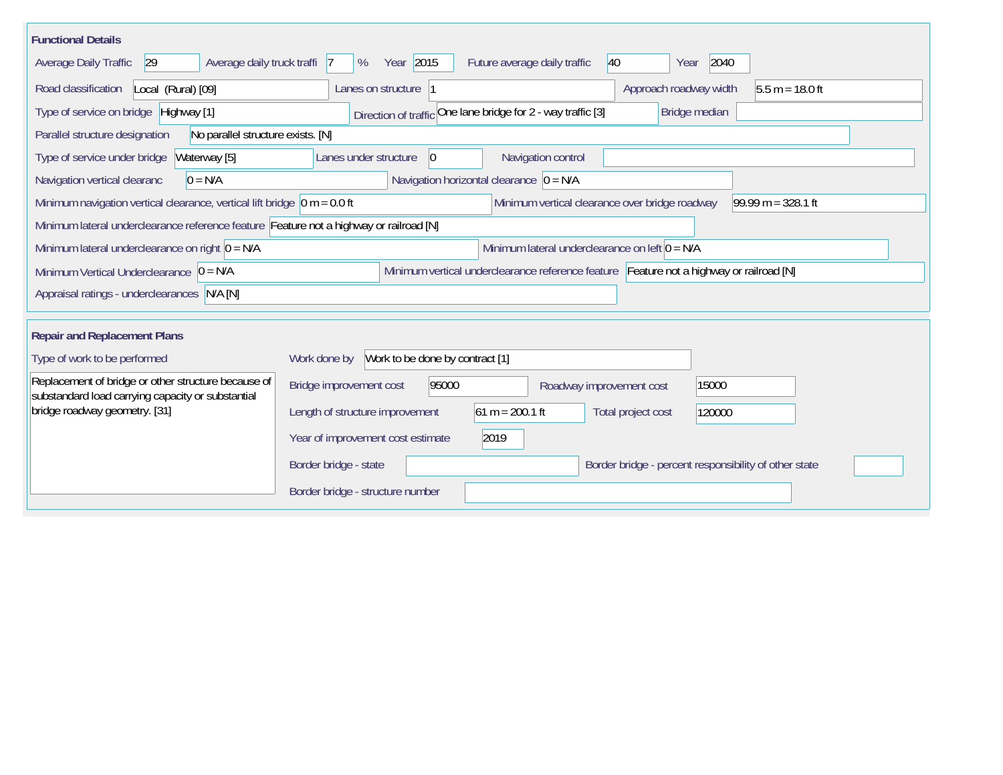| <b>Functional Details</b>                                                                                |                                                                                         |  |  |  |  |  |
|----------------------------------------------------------------------------------------------------------|-----------------------------------------------------------------------------------------|--|--|--|--|--|
| Average daily truck traffi<br>Average Daily Traffic<br>29                                                | Year 2015<br>40<br>2040<br>Future average daily traffic<br>%<br>$\overline{7}$<br>Year  |  |  |  |  |  |
| Road classification<br>Local (Rural) [09]                                                                | $5.5 m = 18.0 ft$<br>Lanes on structure<br>Approach roadway width                       |  |  |  |  |  |
| Type of service on bridge Highway [1]                                                                    | Direction of traffic One lane bridge for 2 - way traffic [3]<br>Bridge median           |  |  |  |  |  |
| Parallel structure designation<br>No parallel structure exists. [N]                                      |                                                                                         |  |  |  |  |  |
| Type of service under bridge<br>Waterway [5]                                                             | Navigation control<br>Lanes under structure<br>$ 0\rangle$                              |  |  |  |  |  |
| Navigation vertical clearanc<br>$0 = N/A$                                                                | Navigation horizontal clearance $\overline{0} = N/A$                                    |  |  |  |  |  |
| Minimum navigation vertical clearance, vertical lift bridge $\vert$ 0 m = 0.0 ft                         | $99.99 m = 328.1 ft$<br>Minimum vertical clearance over bridge roadway                  |  |  |  |  |  |
| Minimum lateral underclearance reference feature Feature not a highway or railroad [N]                   |                                                                                         |  |  |  |  |  |
| Minimum lateral underclearance on left $0 = N/A$<br>Minimum lateral underclearance on right $0 = N/A$    |                                                                                         |  |  |  |  |  |
| Minimum Vertical Underclearance $ 0 = N/A$                                                               | Minimum vertical underclearance reference feature Feature not a highway or railroad [N] |  |  |  |  |  |
| Appraisal ratings - underclearances N/A [N]                                                              |                                                                                         |  |  |  |  |  |
|                                                                                                          |                                                                                         |  |  |  |  |  |
| <b>Repair and Replacement Plans</b>                                                                      |                                                                                         |  |  |  |  |  |
| Type of work to be performed                                                                             | Work done by Work to be done by contract [1]                                            |  |  |  |  |  |
| Replacement of bridge or other structure because of<br>substandard load carrying capacity or substantial | Bridge improvement cost<br>95000<br>15000<br>Roadway improvement cost                   |  |  |  |  |  |
| bridge roadway geometry. [31]                                                                            | $61 m = 200.1 ft$<br>Length of structure improvement<br>Total project cost<br>120000    |  |  |  |  |  |
|                                                                                                          | 2019<br>Year of improvement cost estimate                                               |  |  |  |  |  |
|                                                                                                          | Border bridge - state<br>Border bridge - percent responsibility of other state          |  |  |  |  |  |
|                                                                                                          | Border bridge - structure number                                                        |  |  |  |  |  |